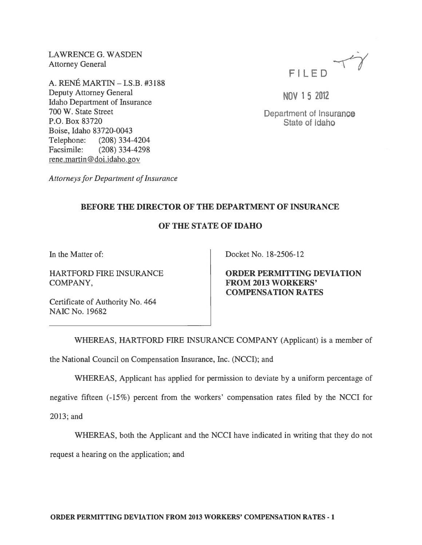LAWRENCE G. WASDEN Attorney General

A. RENE MARTIN - I.S.B. #3188 Deputy Attorney General Idaho Department of Insurance 700 W. State Street P.O. Box 83720 Boise, Idaho 83720-0043 Telephone: (208) 334-4204 Facsimile: (208) 334-4298 rene.martin@doi.idaho.gov

*Attorneys for Department of Insurance* 



NOV 1 5 2012

Department of Insurance State of Idaho

## BEFORE THE DIRECTOR OF THE DEPARTMENT OF INSURANCE

## OF THE STATE OF IDAHO

In the Matter of:

HARTFORD FIRE INSURANCE COMPANY,

Docket No. 18-2506-12

ORDER PERMITTING DEVIATION FROM 2013 WORKERS' COMPENSATION RATES

Certificate of Authority No. 464 NAIC No. 19682

WHEREAS, HARTFORD FIRE INSURANCE COMPANY (Applicant) is a member of

the National Council on Compensation Insurance, Inc. (NCCI); and

WHEREAS, Applicant has applied for permission to deviate by a uniform percentage of

negative fifteen (-15%) percent from the workers' compensation rates filed by the NCCI for

2013; and

WHEREAS, both the Applicant and the NCCI have indicated in writing that they do not

request a hearing on the application; and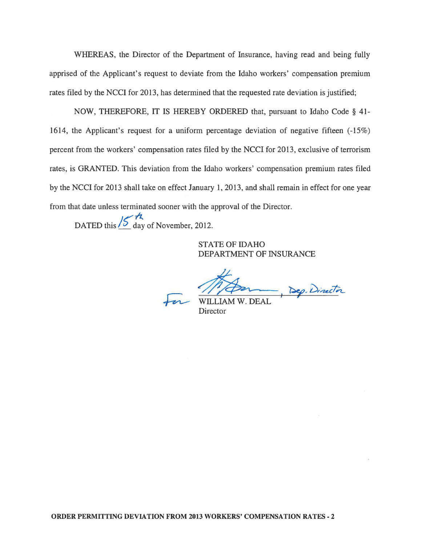WHEREAS, the Director of the Department of Insurance, having read and being fully apprised of the Applicant's request to deviate from the Idaho workers' compensation premium rates filed by the NCCI for 2013, has determined that the requested rate deviation is justified;

NOW, THEREFORE, IT IS HEREBY ORDERED that, pursuant to Idaho Code § 41- 1614, the Applicant's request for a uniform percentage deviation of negative fifteen (-15%) percent from the workers' compensation rates filed by the NCCI for 2013, exclusive of terrorism rates, is GRANTED. This deviation from the Idaho workers' compensation premium rates filed by the NCCI for 2013 shall take on effect January 1,2013, and shall remain in effect for one year from that date unless terminated sooner with the approval of the Director.

DATED this  $\frac{15}{5}$  day of November, 2012.

STATE OF IDAHO DEPARTMENT OF INSURANCE

WILLIAM W. DEAL, Dep. Director

**Director**